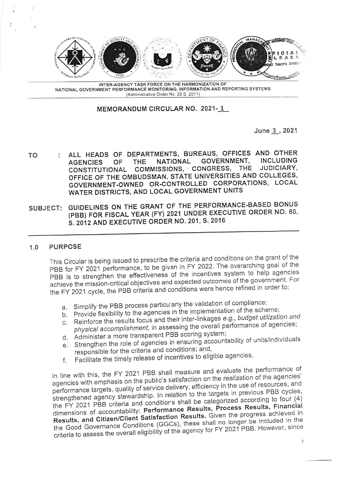

INTER-AGENCY TASK FORCE ON THE HARMONIZATION OF NATIONAL GOVERNMENT PERFORMANCE MONITORING, INFORMATION AND REPORTING SYSTEMS (Administrative Order No. 25 S. 2011)

## MEMORANDUM CIRCULAR NO. 2021-1

June 3, 2021

- : ALL HEADS OF DEPARTMENTS, BUREAUS, OFFICES AND OTHER TO **NATIONAL** GOVERNMENT. **INCLUDING THE OF AGENCIES** COMMISSIONS, CONGRESS, THE JUDICIARY, CONSTITUTIONAL OFFICE OF THE OMBUDSMAN, STATE UNIVERSITIES AND COLLEGES, GOVERNMENT-OWNED OR-CONTROLLED CORPORATIONS, LOCAL WATER DISTRICTS, AND LOCAL GOVERNMENT UNITS
- SUBJECT: GUIDELINES ON THE GRANT OF THE PERFORMANCE-BASED BONUS (PBB) FOR FISCAL YEAR (FY) 2021 UNDER EXECUTIVE ORDER NO. 80, S. 2012 AND EXECUTIVE ORDER NO. 201, S. 2016

## $1.0$ **PURPOSE**

This Circular is being issued to prescribe the criteria and conditions on the grant of the PBB for FY 2021 performance, to be given in FY 2022. The overarching goal of the PBB is to strengthen the effectiveness of the incentives system to help agencies achieve the mission-critical objectives and expected outcomes of the government. For the FY 2021 cycle, the PBB criteria and conditions were hence refined in order to:

- a. Simplify the PBB process particularly the validation of compliance;
- b. Provide flexibility to the agencies in the implementation of the scheme:
- c. Reinforce the results focus and their inter-linkages e.g., budget utilization and physical accomplishment, in assessing the overall performance of agencies;
- d. Administer a more transparent PBB scoring system;
- e. Strengthen the role of agencies in ensuring accountability of units/individuals responsible for the criteria and conditions; and,
- Facilitate the timely release of incentives to eligible agencies.  $f_{\perp}$

In line with this, the FY 2021 PBB shall measure and evaluate the performance of agencies with emphasis on the public's satisfaction on the realization of the agencies' performance targets, quality of service delivery, efficiency in the use of resources, and strengthened agency stewardship. In relation to the targets in previous PBB cycles, the FY 2021 PBB criteria and conditions shall be categorized according to four (4) dimensions of accountability: Performance Results, Process Results, Financial Results, and Citizen/Client Satisfaction Results. Given the progress achieved in the Good Governance Conditions (GGCs), these shall no longer be included in the criteria to assess the overall eligibility of the agency for FY 2021 PBB. However, since

 $\mathbf{1}$